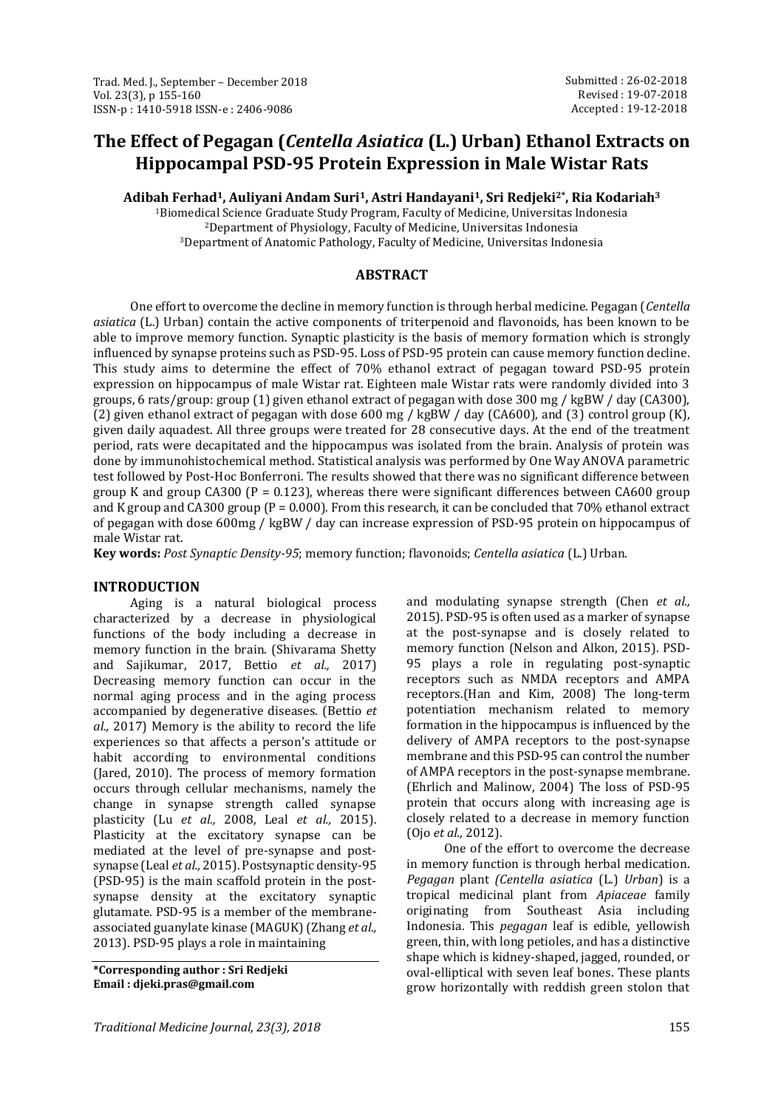# **The Effect of Pegagan (***Centella Asiatica* **(L.) Urban) Ethanol Extracts on Hippocampal PSD-95 Protein Expression in Male Wistar Rats**

**Adibah Ferhad1, Auliyani Andam Suri1, Astri Handayani1, Sri Redjeki2\*, Ria Kodariah<sup>3</sup>**

<sup>1</sup>Biomedical Science Graduate Study Program, Faculty of Medicine, Universitas Indonesia <sup>2</sup>Department of Physiology, Faculty of Medicine, Universitas Indonesia <sup>3</sup>Department of Anatomic Pathology, Faculty of Medicine, Universitas Indonesia

# **ABSTRACT**

One effort to overcome the decline in memory function is through herbal medicine. Pegagan (*Centella asiatica* (L.) Urban) contain the active components of triterpenoid and flavonoids, has been known to be able to improve memory function. Synaptic plasticity is the basis of memory formation which is strongly influenced by synapse proteins such as PSD-95. Loss of PSD-95 protein can cause memory function decline. This study aims to determine the effect of 70% ethanol extract of pegagan toward PSD-95 protein expression on hippocampus of male Wistar rat. Eighteen male Wistar rats were randomly divided into 3 groups, 6 rats/group: group (1) given ethanol extract of pegagan with dose 300 mg / kgBW / day (CA300), (2) given ethanol extract of pegagan with dose 600 mg / kgBW / day (CA600), and (3) control group (K), given daily aquadest. All three groups were treated for 28 consecutive days. At the end of the treatment period, rats were decapitated and the hippocampus was isolated from the brain. Analysis of protein was done by immunohistochemical method. Statistical analysis was performed by One Way ANOVA parametric test followed by Post-Hoc Bonferroni. The results showed that there was no significant difference between group K and group CA300 ( $P = 0.123$ ), whereas there were significant differences between CA600 group and K group and CA300 group ( $P = 0.000$ ). From this research, it can be concluded that 70% ethanol extract of pegagan with dose 600mg / kgBW / day can increase expression of PSD-95 protein on hippocampus of male Wistar rat.

**Key words:** *Post Synaptic Density-95*; memory function; flavonoids; *Centella asiatica* (L.) Urban.

#### **INTRODUCTION**

Aging is a natural biological process characterized by a decrease in physiological functions of the body including a decrease in memory function in the brain. (Shivarama Shetty and Sajikumar, 2017, Bettio *et al.,* 2017) Decreasing memory function can occur in the normal aging process and in the aging process accompanied by degenerative diseases. (Bettio *et al.,* 2017) Memory is the ability to record the life experiences so that affects a person's attitude or habit according to environmental conditions (Jared, 2010). The process of memory formation occurs through cellular mechanisms, namely the change in synapse strength called synapse plasticity (Lu *et al.,* 2008, Leal *et al.,* 2015). Plasticity at the excitatory synapse can be mediated at the level of pre-synapse and postsynapse (Leal *et al.,* 2015). Postsynaptic density-95 (PSD-95) is the main scaffold protein in the postsynapse density at the excitatory synaptic glutamate. PSD-95 is a member of the membraneassociated guanylate kinase (MAGUK) (Zhang *et al.,* 2013). PSD-95 plays a role in maintaining

**\*Corresponding author : Sri Redjeki Email : djeki.pras@gmail.com**

and modulating synapse strength (Chen *et al.,* 2015). PSD-95 is often used as a marker of synapse at the post-synapse and is closely related to memory function (Nelson and Alkon, 2015). PSD-95 plays a role in regulating post-synaptic receptors such as NMDA receptors and AMPA receptors.(Han and Kim, 2008) The long-term potentiation mechanism related to memory formation in the hippocampus is influenced by the delivery of AMPA receptors to the post-synapse membrane and this PSD-95 can control the number of AMPA receptors in the post-synapse membrane. (Ehrlich and Malinow, 2004) The loss of PSD-95 protein that occurs along with increasing age is closely related to a decrease in memory function (Ojo *et al.,* 2012).

One of the effort to overcome the decrease in memory function is through herbal medication. *Pegagan* plant *(Centella asiatica* (L.) *Urban*) is a tropical medicinal plant from *Apiaceae* family originating from Southeast Asia including Indonesia. This *pegagan* leaf is edible, yellowish green, thin, with long petioles, and has a distinctive shape which is kidney-shaped, jagged, rounded, or oval-elliptical with seven leaf bones. These plants grow horizontally with reddish green stolon that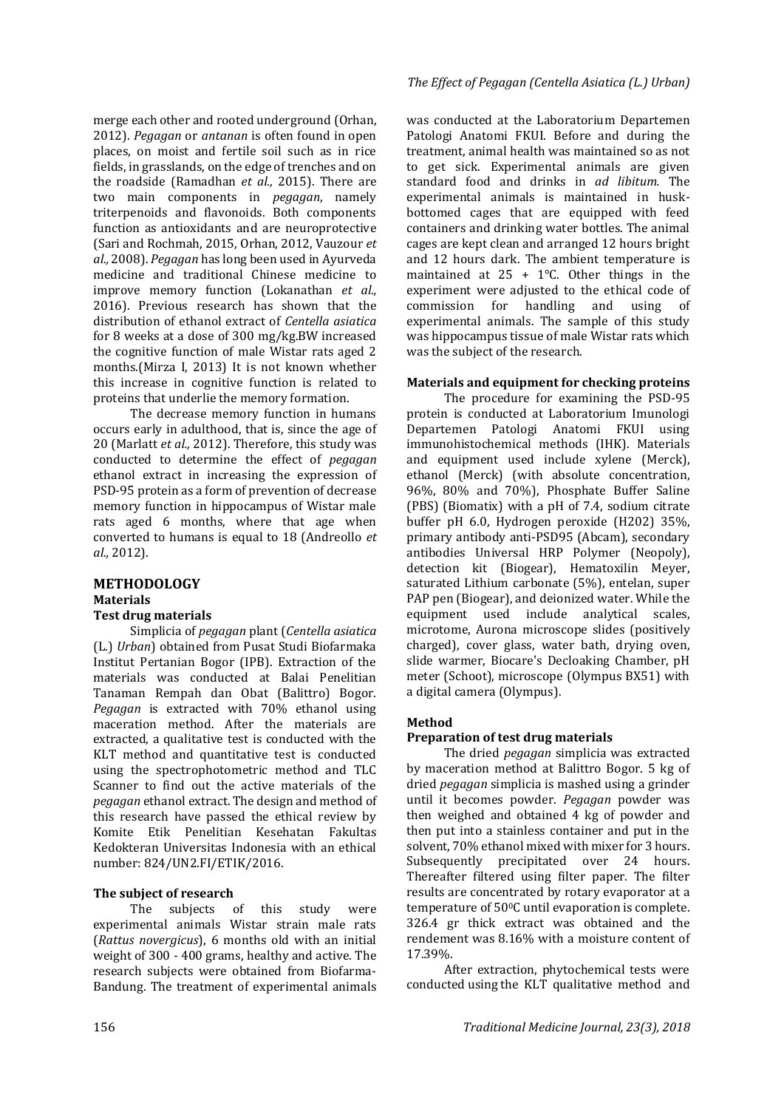merge each other and rooted underground (Orhan, 2012). *Pegagan* or *antanan* is often found in open places, on moist and fertile soil such as in rice fields, in grasslands, on the edge of trenches and on the roadside (Ramadhan *et al.,* 2015). There are two main components in *pegagan*, namely triterpenoids and flavonoids. Both components function as antioxidants and are neuroprotective (Sari and Rochmah, 2015, Orhan, 2012, Vauzour *et al.,* 2008). *Pegagan* has long been used in Ayurveda medicine and traditional Chinese medicine to improve memory function (Lokanathan *et al.,* 2016). Previous research has shown that the distribution of ethanol extract of *Centella asiatica* for 8 weeks at a dose of 300 mg/kg.BW increased the cognitive function of male Wistar rats aged 2 months.(Mirza I, 2013) It is not known whether this increase in cognitive function is related to proteins that underlie the memory formation.

The decrease memory function in humans occurs early in adulthood, that is, since the age of 20 (Marlatt *et al.,* 2012). Therefore, this study was conducted to determine the effect of *pegagan* ethanol extract in increasing the expression of PSD-95 protein as a form of prevention of decrease memory function in hippocampus of Wistar male rats aged 6 months, where that age when converted to humans is equal to 18 (Andreollo *et al.,* 2012).

### **METHODOLOGY Materials Test drug materials**

Simplicia of *pegagan* plant (*Centella asiatica* (L.) *Urban*) obtained from Pusat Studi Biofarmaka Institut Pertanian Bogor (IPB). Extraction of the materials was conducted at Balai Penelitian Tanaman Rempah dan Obat (Balittro) Bogor. *Pegagan* is extracted with 70% ethanol using maceration method. After the materials are extracted, a qualitative test is conducted with the KLT method and quantitative test is conducted using the spectrophotometric method and TLC Scanner to find out the active materials of the *pegagan* ethanol extract. The design and method of this research have passed the ethical review by Komite Etik Penelitian Kesehatan Fakultas Kedokteran Universitas Indonesia with an ethical number: 824/UN2.FI/ETIK/2016.

#### **The subject of research**

The subjects of this study were experimental animals Wistar strain male rats (*Rattus novergicus*), 6 months old with an initial weight of 300 - 400 grams, healthy and active. The research subjects were obtained from Biofarma-Bandung. The treatment of experimental animals

#### *The Effect of Pegagan (Centella Asiatica (L.) Urban)*

was conducted at the Laboratorium Departemen Patologi Anatomi FKUI. Before and during the treatment, animal health was maintained so as not to get sick. Experimental animals are given standard food and drinks in *ad libitum.* The experimental animals is maintained in huskbottomed cages that are equipped with feed containers and drinking water bottles. The animal cages are kept clean and arranged 12 hours bright and 12 hours dark. The ambient temperature is maintained at  $25 + 1$ °C. Other things in the experiment were adjusted to the ethical code of<br>commission for handling and using of commission for handling and using of experimental animals. The sample of this study was hippocampus tissue of male Wistar rats which was the subject of the research.

#### **Materials and equipment for checking proteins**

The procedure for examining the PSD-95 protein is conducted at Laboratorium Imunologi Departemen Patologi Anatomi FKUI using immunohistochemical methods (IHK). Materials and equipment used include xylene (Merck), ethanol (Merck) (with absolute concentration, 96%, 80% and 70%), Phosphate Buffer Saline (PBS) (Biomatix) with a pH of 7.4, sodium citrate buffer pH 6.0, Hydrogen peroxide (H202) 35%, primary antibody anti-PSD95 (Abcam), secondary antibodies Universal HRP Polymer (Neopoly), detection kit (Biogear), Hematoxilin Meyer, saturated Lithium carbonate (5%), entelan, super PAP pen (Biogear), and deionized water. While the equipment used include analytical scales, microtome, Aurona microscope slides (positively charged), cover glass, water bath, drying oven, slide warmer, Biocare's Decloaking Chamber, pH meter (Schoot), microscope (Olympus BX51) with a digital camera (Olympus).

#### **Method**

#### **Preparation of test drug materials**

The dried *pegagan* simplicia was extracted by maceration method at Balittro Bogor. 5 kg of dried *pegagan* simplicia is mashed using a grinder until it becomes powder. *Pegagan* powder was then weighed and obtained 4 kg of powder and then put into a stainless container and put in the solvent, 70% ethanol mixed with mixer for 3 hours. Subsequently precipitated over 24 hours. Thereafter filtered using filter paper. The filter results are concentrated by rotary evaporator at a temperature of 500C until evaporation is complete. 326.4 gr thick extract was obtained and the rendement was 8.16% with a moisture content of 17.39%.

After extraction, phytochemical tests were conducted using the KLT qualitative method and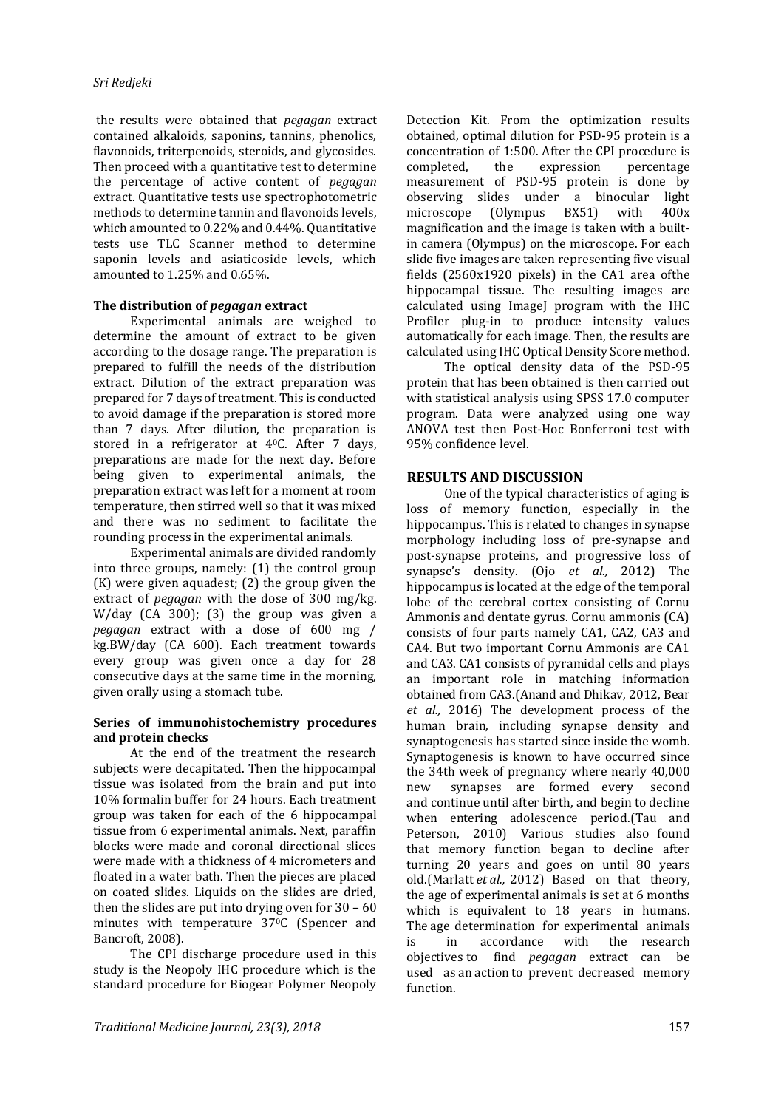the results were obtained that *pegagan* extract contained alkaloids, saponins, tannins, phenolics, flavonoids, triterpenoids, steroids, and glycosides. Then proceed with a quantitative test to determine the percentage of active content of *pegagan* extract. Quantitative tests use spectrophotometric methods to determine tannin and flavonoids levels, which amounted to 0.22% and 0.44%. Quantitative tests use TLC Scanner method to determine saponin levels and asiaticoside levels, which amounted to 1.25% and 0.65%.

#### **The distribution of** *pegagan* **extract**

Experimental animals are weighed to determine the amount of extract to be given according to the dosage range. The preparation is prepared to fulfill the needs of the distribution extract. Dilution of the extract preparation was prepared for 7 days of treatment. This is conducted to avoid damage if the preparation is stored more than 7 days. After dilution, the preparation is stored in a refrigerator at 40C. After 7 days, preparations are made for the next day. Before being given to experimental animals, the preparation extract was left for a moment at room temperature, then stirred well so that it was mixed and there was no sediment to facilitate the rounding process in the experimental animals.

Experimental animals are divided randomly into three groups, namely: (1) the control group (K) were given aquadest; (2) the group given the extract of *pegagan* with the dose of 300 mg/kg. W/day (CA 300); (3) the group was given a *pegagan* extract with a dose of 600 mg / kg.BW/day (CA 600). Each treatment towards every group was given once a day for 28 consecutive days at the same time in the morning, given orally using a stomach tube.

#### **Series of immunohistochemistry procedures and protein checks**

At the end of the treatment the research subjects were decapitated. Then the hippocampal tissue was isolated from the brain and put into 10% formalin buffer for 24 hours. Each treatment group was taken for each of the 6 hippocampal tissue from 6 experimental animals. Next, paraffin blocks were made and coronal directional slices were made with a thickness of 4 micrometers and floated in a water bath. Then the pieces are placed on coated slides. Liquids on the slides are dried, then the slides are put into drying oven for 30 – 60 minutes with temperature 37<sup>o</sup>C (Spencer and Bancroft, 2008).

The CPI discharge procedure used in this study is the Neopoly IHC procedure which is the standard procedure for Biogear Polymer Neopoly Detection Kit. From the optimization results obtained, optimal dilution for PSD-95 protein is a concentration of 1:500. After the CPI procedure is completed, the expression percentage measurement of PSD-95 protein is done by observing slides under a binocular light microscope (Olympus BX51) with 400x magnification and the image is taken with a builtin camera (Olympus) on the microscope. For each slide five images are taken representing five visual fields (2560x1920 pixels) in the CA1 area ofthe hippocampal tissue. The resulting images are calculated using ImageJ program with the IHC Profiler plug-in to produce intensity values automatically for each image. Then, the results are calculated using IHC Optical Density Score method.

The optical density data of the PSD-95 protein that has been obtained is then carried out with statistical analysis using SPSS 17.0 computer program. Data were analyzed using one way ANOVA test then Post-Hoc Bonferroni test with 95% confidence level.

# **RESULTS AND DISCUSSION**

One of the typical characteristics of aging is loss of memory function, especially in the hippocampus. This is related to changes in synapse morphology including loss of pre-synapse and post-synapse proteins, and progressive loss of synapse's density. (Ojo *et al.,* 2012) The hippocampus is located at the edge of the temporal lobe of the cerebral cortex consisting of Cornu Ammonis and dentate gyrus. Cornu ammonis (CA) consists of four parts namely CA1, CA2, CA3 and CA4. But two important Cornu Ammonis are CA1 and CA3. CA1 consists of pyramidal cells and plays an important role in matching information obtained from CA3.(Anand and Dhikav, 2012, Bear *et al.,* 2016) The development process of the human brain, including synapse density and synaptogenesis has started since inside the womb. Synaptogenesis is known to have occurred since the 34th week of pregnancy where nearly 40,000 new synapses are formed every second and continue until after birth, and begin to decline when entering adolescence period.(Tau and Peterson, 2010) Various studies also found that memory function began to decline after turning 20 years and goes on until 80 years old.(Marlatt *et al.,* 2012) Based on that theory, the age of experimental animals is set at 6 months which is equivalent to 18 years in humans. The age determination for experimental animals is in accordance with the research objectives to find *pegagan* extract can be used as an action to prevent decreased memory function.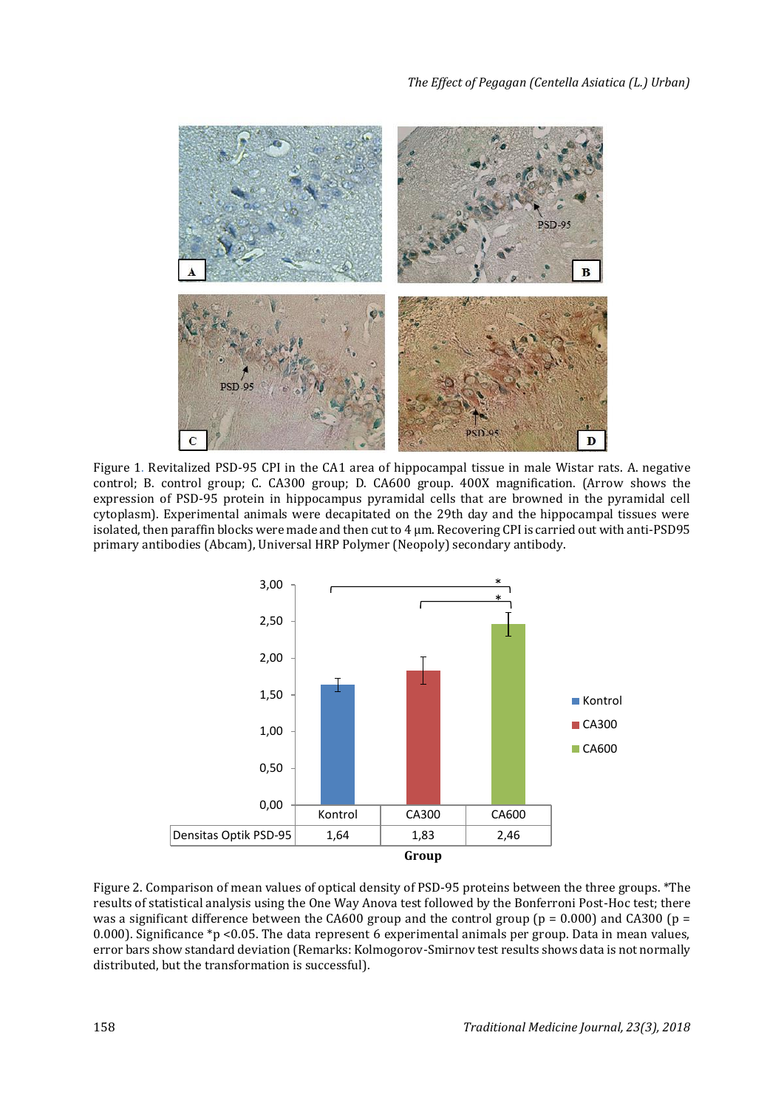

Figure 1. Revitalized PSD-95 CPI in the CA1 area of hippocampal tissue in male Wistar rats. A. negative control; B. control group; C. CA300 group; D. CA600 group. 400X magnification. (Arrow shows the expression of PSD-95 protein in hippocampus pyramidal cells that are browned in the pyramidal cell cytoplasm). Experimental animals were decapitated on the 29th day and the hippocampal tissues were isolated, then paraffin blocks were made and then cut to 4 μm. Recovering CPI is carried out with anti-PSD95 primary antibodies (Abcam), Universal HRP Polymer (Neopoly) secondary antibody.



Figure 2. Comparison of mean values of optical density of PSD-95 proteins between the three groups. \*The results of statistical analysis using the One Way Anova test followed by the Bonferroni Post-Hoc test; there was a significant difference between the CA600 group and the control group ( $p = 0.000$ ) and CA300 ( $p =$ 0.000). Significance \*p <0.05. The data represent 6 experimental animals per group. Data in mean values, error bars show standard deviation (Remarks: Kolmogorov-Smirnov test results shows data is not normally distributed, but the transformation is successful).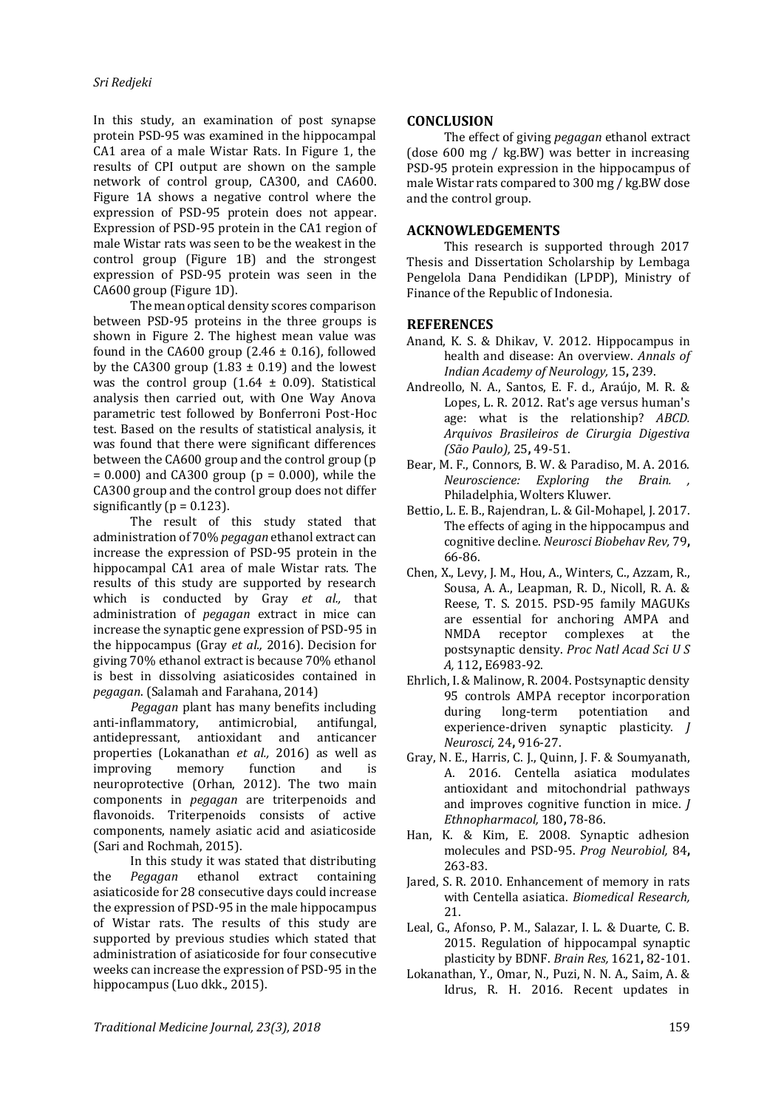In this study, an examination of post synapse protein PSD-95 was examined in the hippocampal CA1 area of a male Wistar Rats. In Figure 1, the results of CPI output are shown on the sample network of control group, CA300, and CA600. Figure 1A shows a negative control where the expression of PSD-95 protein does not appear. Expression of PSD-95 protein in the CA1 region of male Wistar rats was seen to be the weakest in the control group (Figure 1B) and the strongest expression of PSD-95 protein was seen in the CA600 group (Figure 1D).

The mean optical density scores comparison between PSD-95 proteins in the three groups is shown in Figure 2. The highest mean value was found in the CA600 group (2.46  $\pm$  0.16), followed by the CA300 group  $(1.83 \pm 0.19)$  and the lowest was the control group  $(1.64 \pm 0.09)$ . Statistical analysis then carried out, with One Way Anova parametric test followed by Bonferroni Post-Hoc test. Based on the results of statistical analysis, it was found that there were significant differences between the CA600 group and the control group (p  $= 0.000$ ) and CA300 group ( $p = 0.000$ ), while the CA300 group and the control group does not differ significantly ( $p = 0.123$ ).

The result of this study stated that administration of 70% *pegagan* ethanol extract can increase the expression of PSD-95 protein in the hippocampal CA1 area of male Wistar rats. The results of this study are supported by research which is conducted by Gray *et al.,* that administration of *pegagan* extract in mice can increase the synaptic gene expression of PSD-95 in the hippocampus (Gray *et al.,* 2016). Decision for giving 70% ethanol extract is because 70% ethanol is best in dissolving asiaticosides contained in *pegagan*. (Salamah and Farahana, 2014)

*Pegagan* plant has many benefits including anti-inflammatory, antimicrobial, antifungal, antidepressant, antioxidant and anticancer properties (Lokanathan *et al.,* 2016) as well as improving memory function and is neuroprotective (Orhan, 2012). The two main components in *pegagan* are triterpenoids and flavonoids. Triterpenoids consists of active components, namely asiatic acid and asiaticoside (Sari and Rochmah, 2015).

In this study it was stated that distributing the *Pegagan* ethanol extract containing asiaticoside for 28 consecutive days could increase the expression of PSD-95 in the male hippocampus of Wistar rats. The results of this study are supported by previous studies which stated that administration of asiaticoside for four consecutive weeks can increase the expression of PSD-95 in the hippocampus (Luo dkk., 2015).

### **CONCLUSION**

The effect of giving *pegagan* ethanol extract (dose 600 mg / kg.BW) was better in increasing PSD-95 protein expression in the hippocampus of male Wistar rats compared to 300 mg / kg.BW dose and the control group.

# **ACKNOWLEDGEMENTS**

This research is supported through 2017 Thesis and Dissertation Scholarship by Lembaga Pengelola Dana Pendidikan (LPDP), Ministry of Finance of the Republic of Indonesia.

# **REFERENCES**

- Anand, K. S. & Dhikav, V. 2012. Hippocampus in health and disease: An overview. *Annals of Indian Academy of Neurology,* 15**,** 239.
- Andreollo, N. A., Santos, E. F. d., Araújo, M. R. & Lopes, L. R. 2012. Rat's age versus human's age: what is the relationship? *ABCD. Arquivos Brasileiros de Cirurgia Digestiva (São Paulo),* 25**,** 49-51.
- Bear, M. F., Connors, B. W. & Paradiso, M. A. 2016. *Neuroscience: Exploring the Brain. ,*  Philadelphia, Wolters Kluwer.
- Bettio, L. E. B., Rajendran, L. & Gil-Mohapel, J. 2017. The effects of aging in the hippocampus and cognitive decline. *Neurosci Biobehav Rev,* 79**,** 66-86.
- Chen, X., Levy, J. M., Hou, A., Winters, C., Azzam, R., Sousa, A. A., Leapman, R. D., Nicoll, R. A. & Reese, T. S. 2015. PSD-95 family MAGUKs are essential for anchoring AMPA and NMDA receptor complexes at the postsynaptic density. *Proc Natl Acad Sci U S A,* 112**,** E6983-92.
- Ehrlich, I. & Malinow, R. 2004. Postsynaptic density 95 controls AMPA receptor incorporation during long-term potentiation and experience-driven synaptic plasticity. *J Neurosci,* 24**,** 916-27.
- Gray, N. E., Harris, C. J., Quinn, J. F. & Soumyanath, A. 2016. Centella asiatica modulates antioxidant and mitochondrial pathways and improves cognitive function in mice. *J Ethnopharmacol,* 180**,** 78-86.
- Han, K. & Kim, E. 2008. Synaptic adhesion molecules and PSD-95. *Prog Neurobiol,* 84**,** 263-83.
- Jared, S. R. 2010. Enhancement of memory in rats with Centella asiatica. *Biomedical Research,* 21.
- Leal, G., Afonso, P. M., Salazar, I. L. & Duarte, C. B. 2015. Regulation of hippocampal synaptic plasticity by BDNF. *Brain Res,* 1621**,** 82-101.
- Lokanathan, Y., Omar, N., Puzi, N. N. A., Saim, A. & Idrus, R. H. 2016. Recent updates in